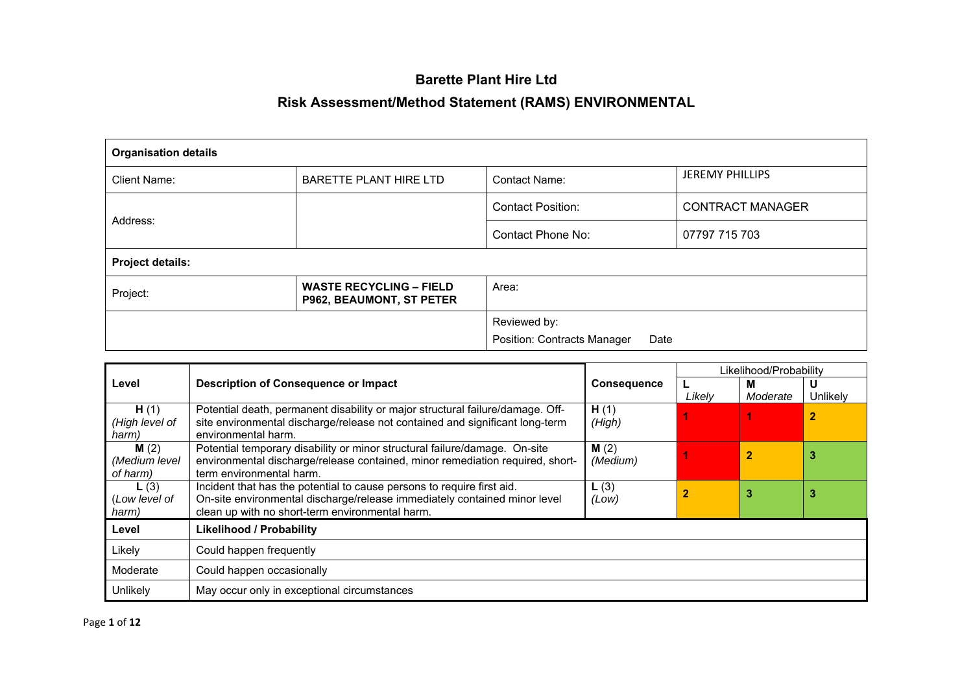## **Barette Plant Hire Ltd**

## **Risk Assessment/Method Statement (RAMS) ENVIRONMENTAL**

| <b>Organisation details</b> |                                                            |                                     |                         |  |  |  |  |
|-----------------------------|------------------------------------------------------------|-------------------------------------|-------------------------|--|--|--|--|
| <b>Client Name:</b>         | <b>BARETTE PLANT HIRE LTD</b>                              | Contact Name:                       | <b>JEREMY PHILLIPS</b>  |  |  |  |  |
|                             |                                                            | <b>Contact Position:</b>            | <b>CONTRACT MANAGER</b> |  |  |  |  |
| Address:                    |                                                            | <b>Contact Phone No:</b>            | 07797 715 703           |  |  |  |  |
| <b>Project details:</b>     |                                                            |                                     |                         |  |  |  |  |
| Project:                    | <b>WASTE RECYCLING - FIELD</b><br>P962, BEAUMONT, ST PETER | Area:                               |                         |  |  |  |  |
|                             |                                                            | Reviewed by:                        |                         |  |  |  |  |
|                             |                                                            | Position: Contracts Manager<br>Date |                         |  |  |  |  |

|                        |                                                                                                                                                                |                    |        | Likelihood/Probability |                |
|------------------------|----------------------------------------------------------------------------------------------------------------------------------------------------------------|--------------------|--------|------------------------|----------------|
| Level                  | <b>Description of Consequence or Impact</b>                                                                                                                    | <b>Consequence</b> |        | М                      | U              |
|                        |                                                                                                                                                                |                    | Likely | Moderate               | Unlikely       |
| H(1)<br>(High level of | Potential death, permanent disability or major structural failure/damage. Off-<br>site environmental discharge/release not contained and significant long-term | H(1)<br>(High)     |        |                        | $\overline{2}$ |
| harm)                  | environmental harm.                                                                                                                                            |                    |        |                        |                |
| M(2)                   | Potential temporary disability or minor structural failure/damage. On-site                                                                                     | M(2)               |        | 2                      | З              |
| (Medium level          | environmental discharge/release contained, minor remediation required, short-                                                                                  | (Medium)           |        |                        |                |
| of harm)               | term environmental harm.                                                                                                                                       |                    |        |                        |                |
| L(3)                   | Incident that has the potential to cause persons to require first aid.                                                                                         | L(3)               |        | 3                      | 3              |
| (Low level of          | On-site environmental discharge/release immediately contained minor level                                                                                      | (Low)              |        |                        |                |
| harm)                  | clean up with no short-term environmental harm.                                                                                                                |                    |        |                        |                |
| Level                  | <b>Likelihood / Probability</b>                                                                                                                                |                    |        |                        |                |
| Likely                 | Could happen frequently                                                                                                                                        |                    |        |                        |                |
| Moderate               | Could happen occasionally                                                                                                                                      |                    |        |                        |                |
| Unlikely               | May occur only in exceptional circumstances                                                                                                                    |                    |        |                        |                |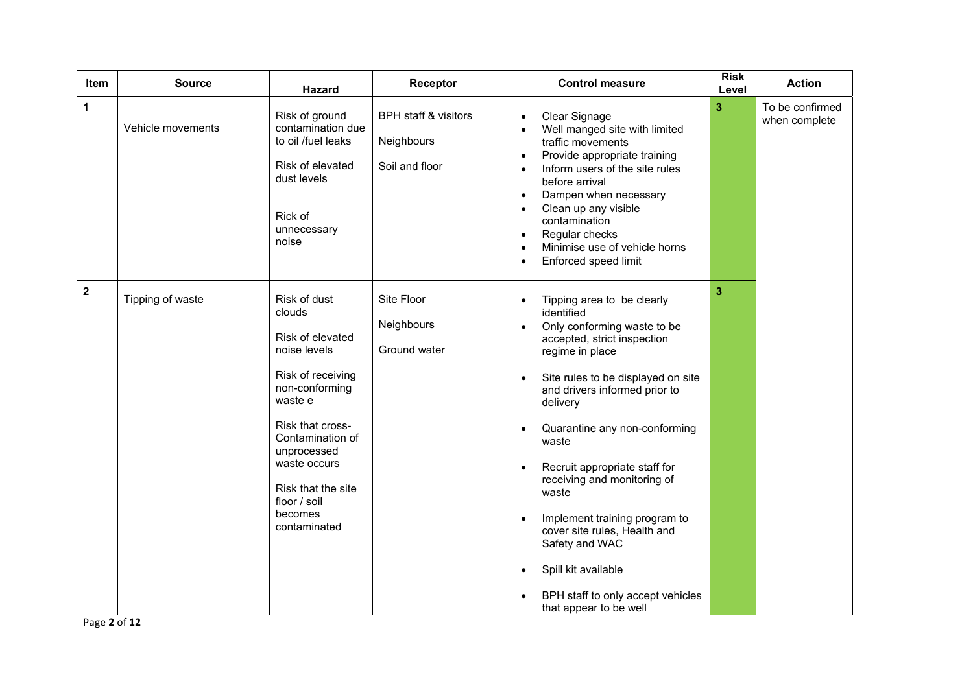| <b>Item</b>  | <b>Source</b>     | <b>Hazard</b>                                                                                                                                                                                                                                        | Receptor                                                        | <b>Control measure</b>                                                                                                                                                                                                                                                                                                                                                                                                                                                                                                                          | <b>Risk</b><br>Level | <b>Action</b>                    |
|--------------|-------------------|------------------------------------------------------------------------------------------------------------------------------------------------------------------------------------------------------------------------------------------------------|-----------------------------------------------------------------|-------------------------------------------------------------------------------------------------------------------------------------------------------------------------------------------------------------------------------------------------------------------------------------------------------------------------------------------------------------------------------------------------------------------------------------------------------------------------------------------------------------------------------------------------|----------------------|----------------------------------|
| $\mathbf 1$  | Vehicle movements | Risk of ground<br>contamination due<br>to oil /fuel leaks<br>Risk of elevated<br>dust levels<br>Rick of<br>unnecessary<br>noise                                                                                                                      | <b>BPH staff &amp; visitors</b><br>Neighbours<br>Soil and floor | Clear Signage<br>Well manged site with limited<br>$\bullet$<br>traffic movements<br>Provide appropriate training<br>$\bullet$<br>Inform users of the site rules<br>$\bullet$<br>before arrival<br>Dampen when necessary<br>$\bullet$<br>Clean up any visible<br>$\bullet$<br>contamination<br>Regular checks<br>Minimise use of vehicle horns<br>Enforced speed limit<br>$\bullet$                                                                                                                                                              | 3                    | To be confirmed<br>when complete |
| $\mathbf{2}$ | Tipping of waste  | Risk of dust<br>clouds<br>Risk of elevated<br>noise levels<br>Risk of receiving<br>non-conforming<br>waste e<br>Risk that cross-<br>Contamination of<br>unprocessed<br>waste occurs<br>Risk that the site<br>floor / soil<br>becomes<br>contaminated | Site Floor<br>Neighbours<br>Ground water                        | Tipping area to be clearly<br>$\bullet$<br>identified<br>Only conforming waste to be<br>$\bullet$<br>accepted, strict inspection<br>regime in place<br>Site rules to be displayed on site<br>and drivers informed prior to<br>delivery<br>Quarantine any non-conforming<br>waste<br>Recruit appropriate staff for<br>receiving and monitoring of<br>waste<br>Implement training program to<br>cover site rules, Health and<br>Safety and WAC<br>Spill kit available<br>$\bullet$<br>BPH staff to only accept vehicles<br>that appear to be well | 3                    |                                  |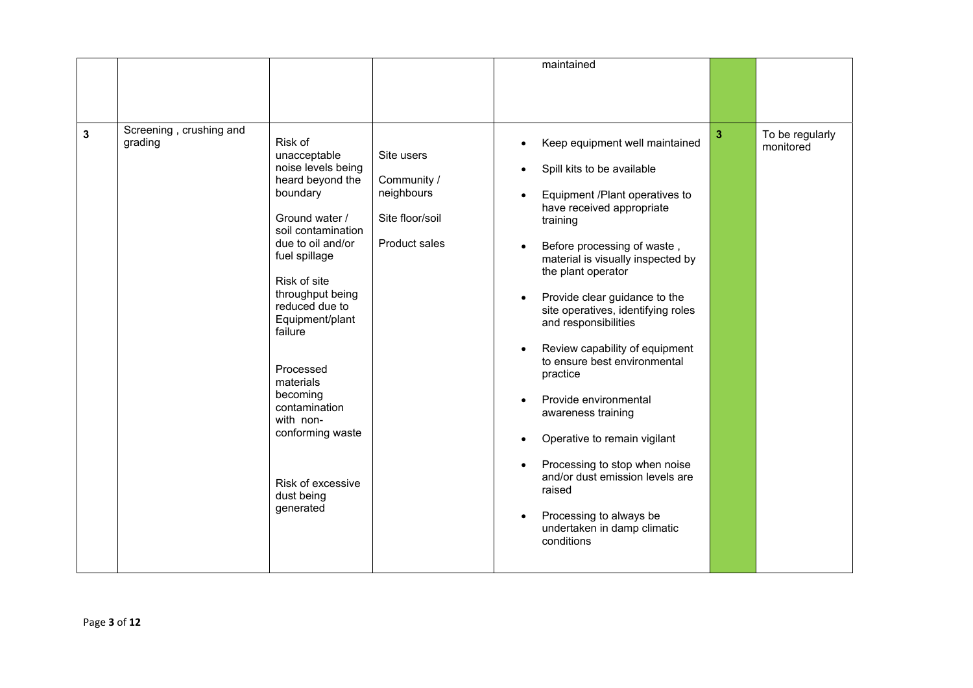|              |                                    |                                                                                                                                                                                                                                                                                                                                                                                         |                                                                                    | maintained                                                                                                                                                                                                                                                                                                                                                                                                                                                                                                                                                                                                                                                       |   |                              |
|--------------|------------------------------------|-----------------------------------------------------------------------------------------------------------------------------------------------------------------------------------------------------------------------------------------------------------------------------------------------------------------------------------------------------------------------------------------|------------------------------------------------------------------------------------|------------------------------------------------------------------------------------------------------------------------------------------------------------------------------------------------------------------------------------------------------------------------------------------------------------------------------------------------------------------------------------------------------------------------------------------------------------------------------------------------------------------------------------------------------------------------------------------------------------------------------------------------------------------|---|------------------------------|
|              |                                    |                                                                                                                                                                                                                                                                                                                                                                                         |                                                                                    |                                                                                                                                                                                                                                                                                                                                                                                                                                                                                                                                                                                                                                                                  |   |                              |
|              |                                    |                                                                                                                                                                                                                                                                                                                                                                                         |                                                                                    |                                                                                                                                                                                                                                                                                                                                                                                                                                                                                                                                                                                                                                                                  |   |                              |
|              |                                    |                                                                                                                                                                                                                                                                                                                                                                                         |                                                                                    |                                                                                                                                                                                                                                                                                                                                                                                                                                                                                                                                                                                                                                                                  |   |                              |
| $\mathbf{3}$ | Screening, crushing and<br>grading | Risk of<br>unacceptable<br>noise levels being<br>heard beyond the<br>boundary<br>Ground water /<br>soil contamination<br>due to oil and/or<br>fuel spillage<br>Risk of site<br>throughput being<br>reduced due to<br>Equipment/plant<br>failure<br>Processed<br>materials<br>becoming<br>contamination<br>with non-<br>conforming waste<br>Risk of excessive<br>dust being<br>generated | Site users<br>Community /<br>neighbours<br>Site floor/soil<br><b>Product sales</b> | Keep equipment well maintained<br>Spill kits to be available<br>$\bullet$<br>Equipment /Plant operatives to<br>have received appropriate<br>training<br>Before processing of waste,<br>material is visually inspected by<br>the plant operator<br>Provide clear guidance to the<br>site operatives, identifying roles<br>and responsibilities<br>Review capability of equipment<br>to ensure best environmental<br>practice<br>Provide environmental<br>awareness training<br>Operative to remain vigilant<br>Processing to stop when noise<br>and/or dust emission levels are<br>raised<br>Processing to always be<br>undertaken in damp climatic<br>conditions | 3 | To be regularly<br>monitored |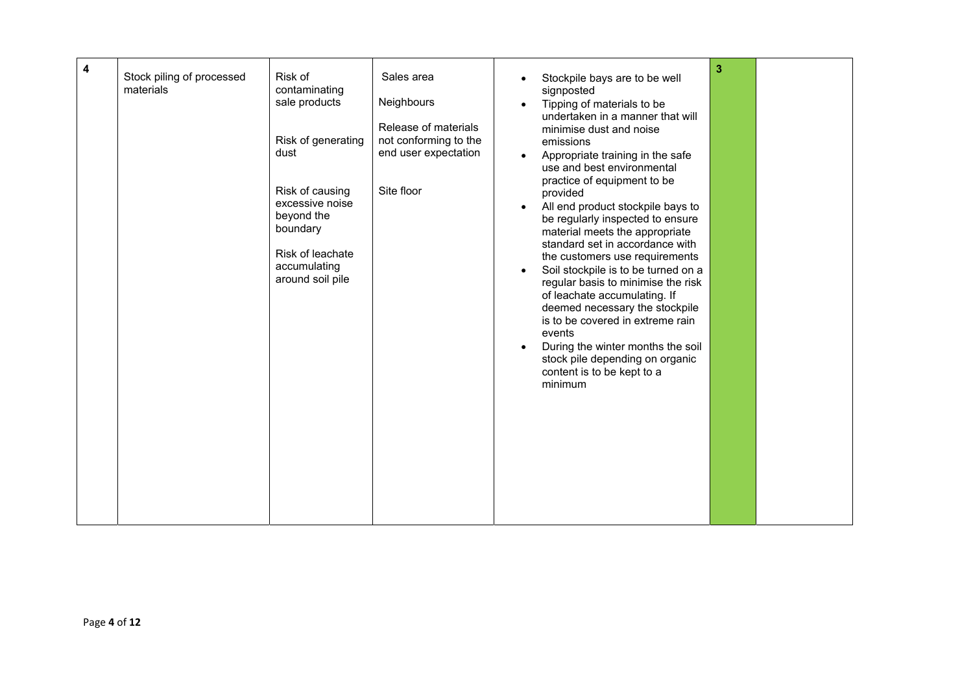| 4 | Stock piling of processed<br>materials | Risk of<br>contaminating<br>sale products<br>Risk of generating<br>dust<br>Risk of causing<br>excessive noise<br>beyond the<br>boundary<br>Risk of leachate<br>accumulating<br>around soil pile | Sales area<br>Neighbours<br>Release of materials<br>not conforming to the<br>end user expectation<br>Site floor | $\bullet$<br>$\bullet$<br>$\bullet$ | Stockpile bays are to be well<br>signposted<br>Tipping of materials to be<br>undertaken in a manner that will<br>minimise dust and noise<br>emissions<br>Appropriate training in the safe<br>use and best environmental<br>practice of equipment to be<br>provided<br>All end product stockpile bays to<br>be regularly inspected to ensure<br>material meets the appropriate<br>standard set in accordance with<br>the customers use requirements<br>Soil stockpile is to be turned on a<br>regular basis to minimise the risk<br>of leachate accumulating. If<br>deemed necessary the stockpile<br>is to be covered in extreme rain<br>events<br>During the winter months the soil<br>stock pile depending on organic<br>content is to be kept to a<br>minimum | 3 |  |
|---|----------------------------------------|-------------------------------------------------------------------------------------------------------------------------------------------------------------------------------------------------|-----------------------------------------------------------------------------------------------------------------|-------------------------------------|------------------------------------------------------------------------------------------------------------------------------------------------------------------------------------------------------------------------------------------------------------------------------------------------------------------------------------------------------------------------------------------------------------------------------------------------------------------------------------------------------------------------------------------------------------------------------------------------------------------------------------------------------------------------------------------------------------------------------------------------------------------|---|--|
|---|----------------------------------------|-------------------------------------------------------------------------------------------------------------------------------------------------------------------------------------------------|-----------------------------------------------------------------------------------------------------------------|-------------------------------------|------------------------------------------------------------------------------------------------------------------------------------------------------------------------------------------------------------------------------------------------------------------------------------------------------------------------------------------------------------------------------------------------------------------------------------------------------------------------------------------------------------------------------------------------------------------------------------------------------------------------------------------------------------------------------------------------------------------------------------------------------------------|---|--|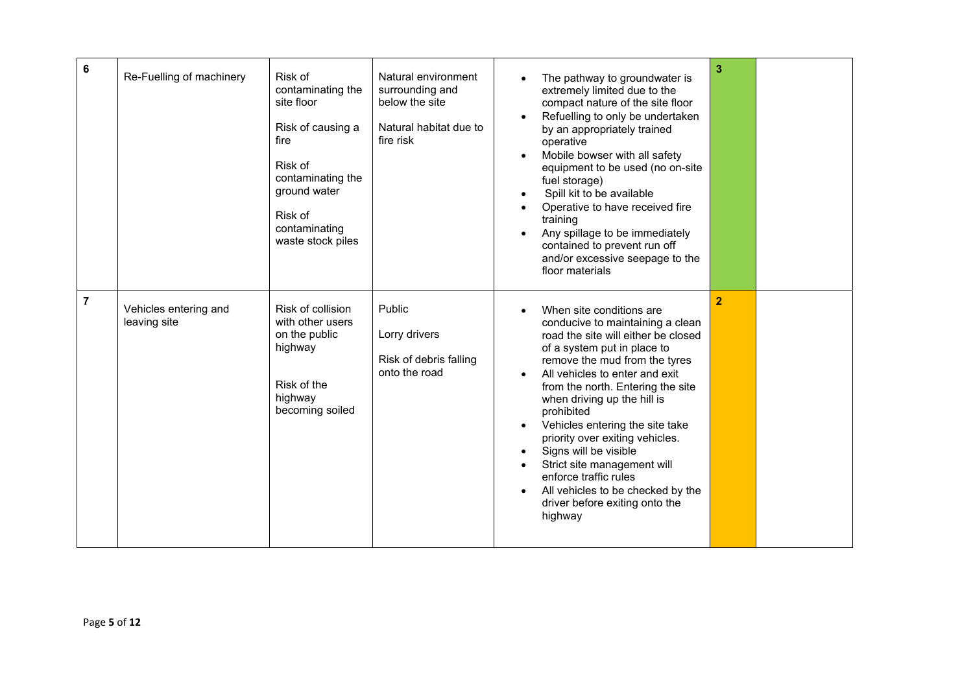| 6              | Re-Fuelling of machinery              | Risk of<br>contaminating the<br>site floor<br>Risk of causing a<br>fire<br>Risk of<br>contaminating the<br>ground water<br>Risk of<br>contaminating<br>waste stock piles | Natural environment<br>surrounding and<br>below the site<br>Natural habitat due to<br>fire risk | The pathway to groundwater is<br>extremely limited due to the<br>compact nature of the site floor<br>Refuelling to only be undertaken<br>by an appropriately trained<br>operative<br>Mobile bowser with all safety<br>equipment to be used (no on-site<br>fuel storage)<br>Spill kit to be available<br>Operative to have received fire<br>training<br>Any spillage to be immediately<br>contained to prevent run off<br>and/or excessive seepage to the<br>floor materials                                                                   | 3              |  |
|----------------|---------------------------------------|--------------------------------------------------------------------------------------------------------------------------------------------------------------------------|-------------------------------------------------------------------------------------------------|-----------------------------------------------------------------------------------------------------------------------------------------------------------------------------------------------------------------------------------------------------------------------------------------------------------------------------------------------------------------------------------------------------------------------------------------------------------------------------------------------------------------------------------------------|----------------|--|
| $\overline{7}$ | Vehicles entering and<br>leaving site | Risk of collision<br>with other users<br>on the public<br>highway<br>Risk of the<br>highway<br>becoming soiled                                                           | Public<br>Lorry drivers<br>Risk of debris falling<br>onto the road                              | When site conditions are<br>$\bullet$<br>conducive to maintaining a clean<br>road the site will either be closed<br>of a system put in place to<br>remove the mud from the tyres<br>All vehicles to enter and exit<br>from the north. Entering the site<br>when driving up the hill is<br>prohibited<br>Vehicles entering the site take<br>priority over exiting vehicles.<br>Signs will be visible<br>Strict site management will<br>enforce traffic rules<br>All vehicles to be checked by the<br>driver before exiting onto the<br>highway | $\overline{2}$ |  |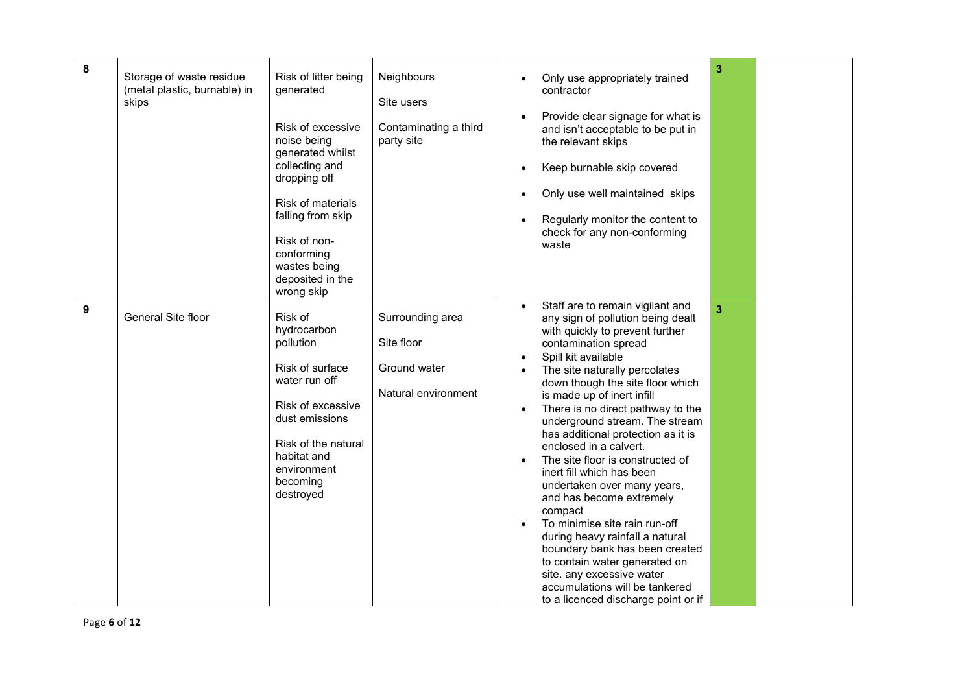| 8 | Storage of waste residue<br>(metal plastic, burnable) in<br>skips | Risk of litter being<br>generated<br>Risk of excessive<br>noise being<br>generated whilst<br>collecting and<br>dropping off<br>Risk of materials<br>falling from skip<br>Risk of non-<br>conforming<br>wastes being<br>deposited in the<br>wrong skip | Neighbours<br>Site users<br>Contaminating a third<br>party site       | 3<br>Only use appropriately trained<br>contractor<br>Provide clear signage for what is<br>and isn't acceptable to be put in<br>the relevant skips<br>Keep burnable skip covered<br>Only use well maintained skips<br>$\bullet$<br>Regularly monitor the content to<br>check for any non-conforming<br>waste                                                                                                                                                                                                                                                                                                                                                                                                                                                                                |  |
|---|-------------------------------------------------------------------|-------------------------------------------------------------------------------------------------------------------------------------------------------------------------------------------------------------------------------------------------------|-----------------------------------------------------------------------|--------------------------------------------------------------------------------------------------------------------------------------------------------------------------------------------------------------------------------------------------------------------------------------------------------------------------------------------------------------------------------------------------------------------------------------------------------------------------------------------------------------------------------------------------------------------------------------------------------------------------------------------------------------------------------------------------------------------------------------------------------------------------------------------|--|
| 9 | General Site floor                                                | Risk of<br>hydrocarbon<br>pollution<br>Risk of surface<br>water run off<br>Risk of excessive<br>dust emissions<br>Risk of the natural<br>habitat and<br>environment<br>becoming<br>destroyed                                                          | Surrounding area<br>Site floor<br>Ground water<br>Natural environment | Staff are to remain vigilant and<br>3<br>any sign of pollution being dealt<br>with quickly to prevent further<br>contamination spread<br>Spill kit available<br>The site naturally percolates<br>down though the site floor which<br>is made up of inert infill<br>There is no direct pathway to the<br>underground stream. The stream<br>has additional protection as it is<br>enclosed in a calvert.<br>The site floor is constructed of<br>inert fill which has been<br>undertaken over many years,<br>and has become extremely<br>compact<br>To minimise site rain run-off<br>during heavy rainfall a natural<br>boundary bank has been created<br>to contain water generated on<br>site. any excessive water<br>accumulations will be tankered<br>to a licenced discharge point or if |  |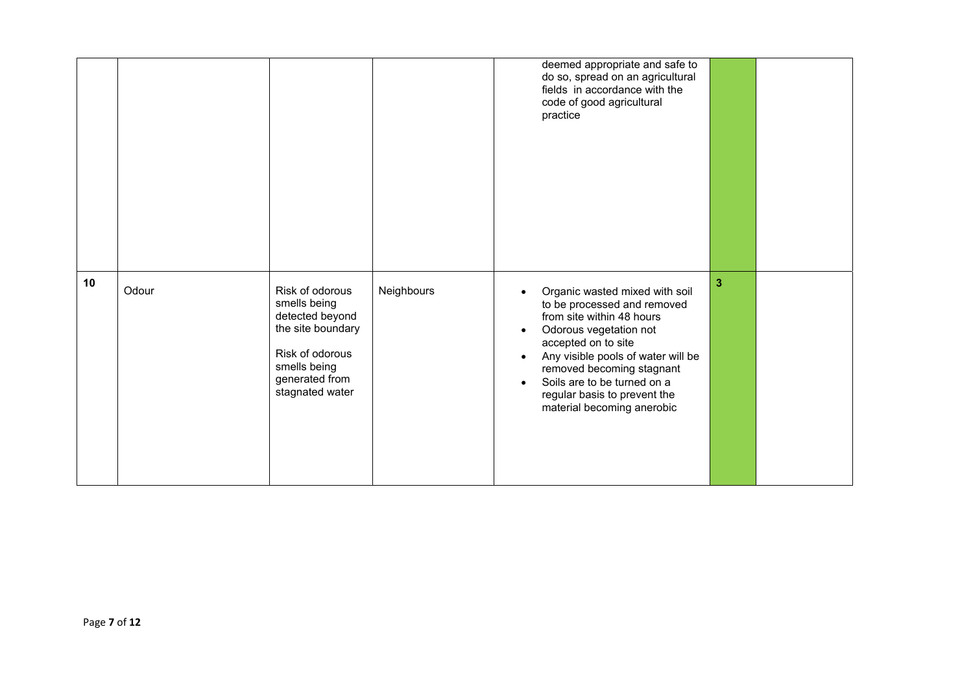|    |       |                                                                                                                                                 |            | deemed appropriate and safe to<br>do so, spread on an agricultural<br>fields in accordance with the<br>code of good agricultural<br>practice                                                                                                                                                                             |                         |  |
|----|-------|-------------------------------------------------------------------------------------------------------------------------------------------------|------------|--------------------------------------------------------------------------------------------------------------------------------------------------------------------------------------------------------------------------------------------------------------------------------------------------------------------------|-------------------------|--|
| 10 | Odour | Risk of odorous<br>smells being<br>detected beyond<br>the site boundary<br>Risk of odorous<br>smells being<br>generated from<br>stagnated water | Neighbours | Organic wasted mixed with soil<br>to be processed and removed<br>from site within 48 hours<br>Odorous vegetation not<br>accepted on to site<br>Any visible pools of water will be<br>removed becoming stagnant<br>Soils are to be turned on a<br>$\bullet$<br>regular basis to prevent the<br>material becoming anerobic | $\overline{\mathbf{3}}$ |  |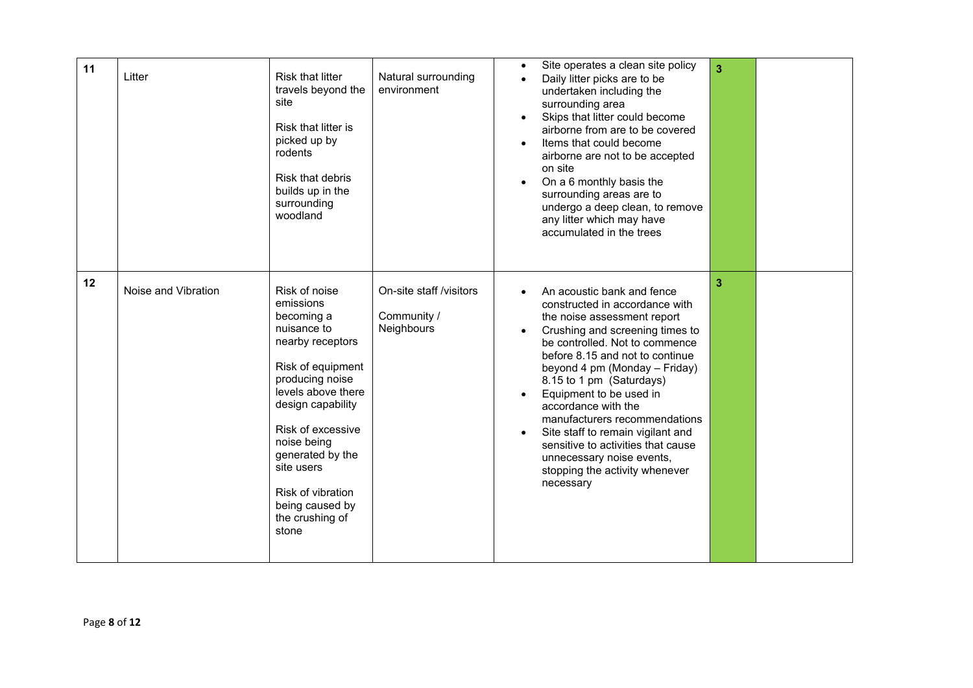| 11 | Litter              | <b>Risk that litter</b><br>travels beyond the<br>site<br>Risk that litter is<br>picked up by<br>rodents<br>Risk that debris<br>builds up in the<br>surrounding<br>woodland                                                                                                                               | Natural surrounding<br>environment                   | Site operates a clean site policy<br>$\bullet$<br>Daily litter picks are to be<br>$\bullet$<br>undertaken including the<br>surrounding area<br>Skips that litter could become<br>airborne from are to be covered<br>Items that could become<br>$\bullet$<br>airborne are not to be accepted<br>on site<br>On a 6 monthly basis the<br>surrounding areas are to<br>undergo a deep clean, to remove<br>any litter which may have<br>accumulated in the trees                                                 | $\overline{3}$ |  |
|----|---------------------|----------------------------------------------------------------------------------------------------------------------------------------------------------------------------------------------------------------------------------------------------------------------------------------------------------|------------------------------------------------------|------------------------------------------------------------------------------------------------------------------------------------------------------------------------------------------------------------------------------------------------------------------------------------------------------------------------------------------------------------------------------------------------------------------------------------------------------------------------------------------------------------|----------------|--|
| 12 | Noise and Vibration | Risk of noise<br>emissions<br>becoming a<br>nuisance to<br>nearby receptors<br>Risk of equipment<br>producing noise<br>levels above there<br>design capability<br>Risk of excessive<br>noise being<br>generated by the<br>site users<br>Risk of vibration<br>being caused by<br>the crushing of<br>stone | On-site staff /visitors<br>Community /<br>Neighbours | An acoustic bank and fence<br>constructed in accordance with<br>the noise assessment report<br>Crushing and screening times to<br>be controlled. Not to commence<br>before 8.15 and not to continue<br>beyond 4 pm (Monday - Friday)<br>8.15 to 1 pm (Saturdays)<br>Equipment to be used in<br>accordance with the<br>manufacturers recommendations<br>Site staff to remain vigilant and<br>sensitive to activities that cause<br>unnecessary noise events,<br>stopping the activity whenever<br>necessary | 3              |  |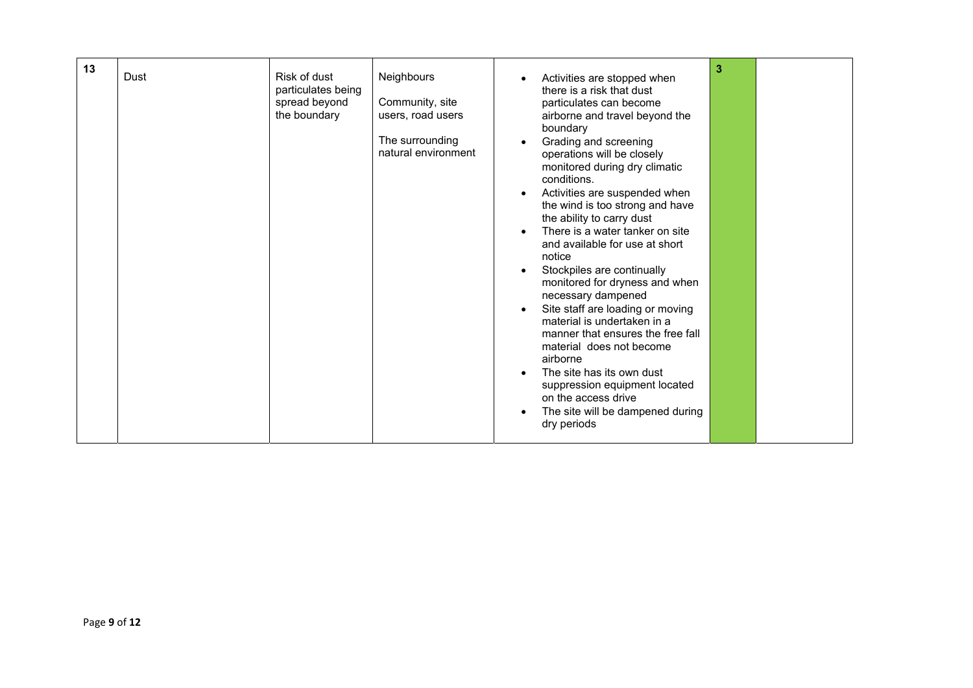| 13 | Dust | Risk of dust<br>particulates being<br>spread beyond<br>the boundary | Neighbours<br>Community, site<br>users, road users<br>The surrounding<br>natural environment | Activities are stopped when<br>there is a risk that dust<br>particulates can become<br>airborne and travel beyond the<br>boundary<br>Grading and screening<br>operations will be closely<br>monitored during dry climatic<br>conditions.<br>Activities are suspended when<br>the wind is too strong and have<br>the ability to carry dust<br>There is a water tanker on site<br>and available for use at short<br>notice<br>Stockpiles are continually<br>monitored for dryness and when<br>necessary dampened<br>Site staff are loading or moving<br>material is undertaken in a<br>manner that ensures the free fall<br>material does not become<br>airborne<br>The site has its own dust<br>suppression equipment located<br>on the access drive<br>The site will be dampened during<br>dry periods | 3 |  |
|----|------|---------------------------------------------------------------------|----------------------------------------------------------------------------------------------|--------------------------------------------------------------------------------------------------------------------------------------------------------------------------------------------------------------------------------------------------------------------------------------------------------------------------------------------------------------------------------------------------------------------------------------------------------------------------------------------------------------------------------------------------------------------------------------------------------------------------------------------------------------------------------------------------------------------------------------------------------------------------------------------------------|---|--|
|----|------|---------------------------------------------------------------------|----------------------------------------------------------------------------------------------|--------------------------------------------------------------------------------------------------------------------------------------------------------------------------------------------------------------------------------------------------------------------------------------------------------------------------------------------------------------------------------------------------------------------------------------------------------------------------------------------------------------------------------------------------------------------------------------------------------------------------------------------------------------------------------------------------------------------------------------------------------------------------------------------------------|---|--|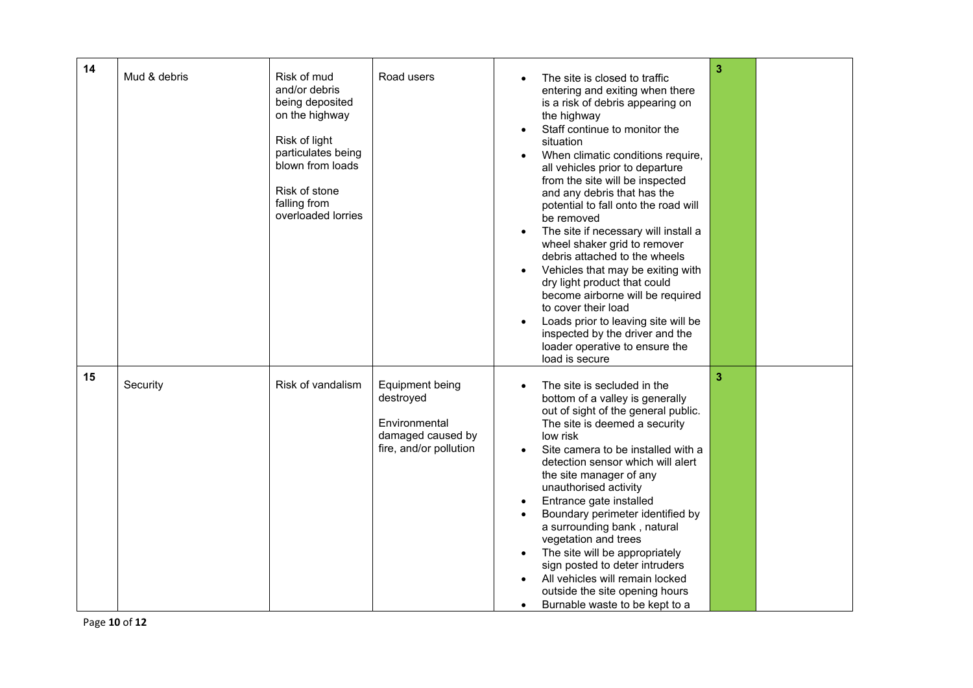| 14 | Mud & debris | Risk of mud<br>and/or debris<br>being deposited<br>on the highway<br>Risk of light<br>particulates being<br>blown from loads<br>Risk of stone<br>falling from<br>overloaded lorries | Road users                                                                                   | The site is closed to traffic<br>entering and exiting when there<br>is a risk of debris appearing on<br>the highway<br>Staff continue to monitor the<br>situation<br>When climatic conditions require,<br>$\bullet$<br>all vehicles prior to departure<br>from the site will be inspected<br>and any debris that has the<br>potential to fall onto the road will<br>be removed<br>The site if necessary will install a<br>wheel shaker grid to remover<br>debris attached to the wheels<br>Vehicles that may be exiting with<br>dry light product that could<br>become airborne will be required<br>to cover their load<br>Loads prior to leaving site will be<br>inspected by the driver and the<br>loader operative to ensure the<br>load is secure | 3 |  |
|----|--------------|-------------------------------------------------------------------------------------------------------------------------------------------------------------------------------------|----------------------------------------------------------------------------------------------|-------------------------------------------------------------------------------------------------------------------------------------------------------------------------------------------------------------------------------------------------------------------------------------------------------------------------------------------------------------------------------------------------------------------------------------------------------------------------------------------------------------------------------------------------------------------------------------------------------------------------------------------------------------------------------------------------------------------------------------------------------|---|--|
| 15 | Security     | Risk of vandalism                                                                                                                                                                   | Equipment being<br>destroyed<br>Environmental<br>damaged caused by<br>fire, and/or pollution | The site is secluded in the<br>bottom of a valley is generally<br>out of sight of the general public.<br>The site is deemed a security<br>low risk<br>Site camera to be installed with a<br>detection sensor which will alert<br>the site manager of any<br>unauthorised activity<br>Entrance gate installed<br>Boundary perimeter identified by<br>a surrounding bank, natural<br>vegetation and trees<br>The site will be appropriately<br>sign posted to deter intruders<br>All vehicles will remain locked<br>outside the site opening hours<br>Burnable waste to be kept to a                                                                                                                                                                    | 3 |  |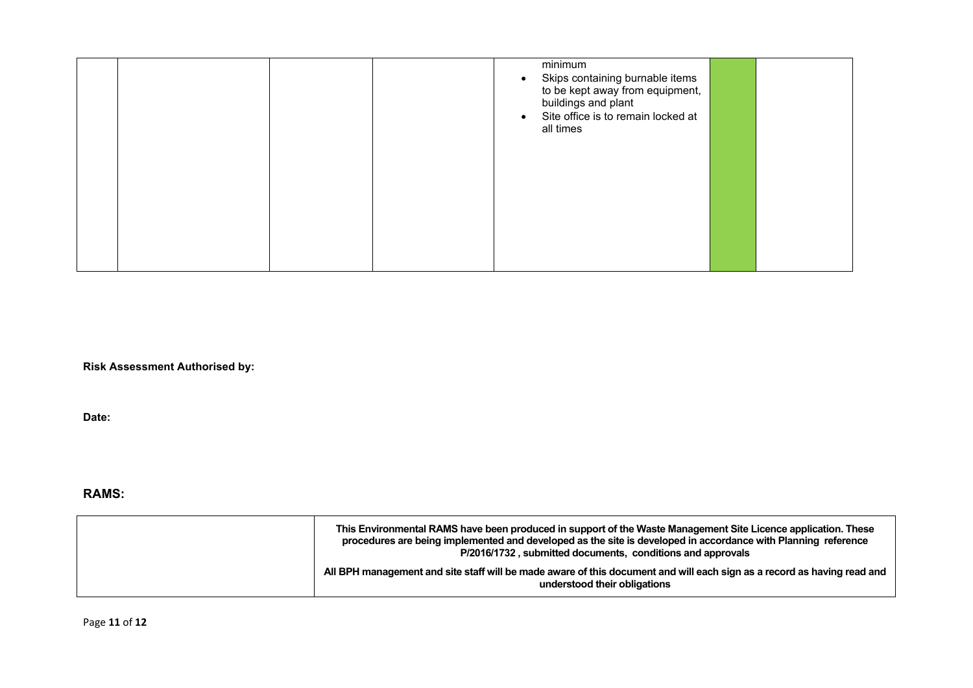|  |  | minimum<br>Skips containing burnable items<br>to be kept away from equipment,<br>buildings and plant<br>Site office is to remain locked at<br>all times |  |
|--|--|---------------------------------------------------------------------------------------------------------------------------------------------------------|--|
|  |  |                                                                                                                                                         |  |

**Risk Assessment Authorised by:** 

**Date:** 

## **RAMS:**

| This Environmental RAMS have been produced in support of the Waste Management Site Licence application. These<br>procedures are being implemented and developed as the site is developed in accordance with Planning reference<br>P/2016/1732, submitted documents, conditions and approvals |
|----------------------------------------------------------------------------------------------------------------------------------------------------------------------------------------------------------------------------------------------------------------------------------------------|
| All BPH management and site staff will be made aware of this document and will each sign as a record as having read and<br>understood their obligations                                                                                                                                      |